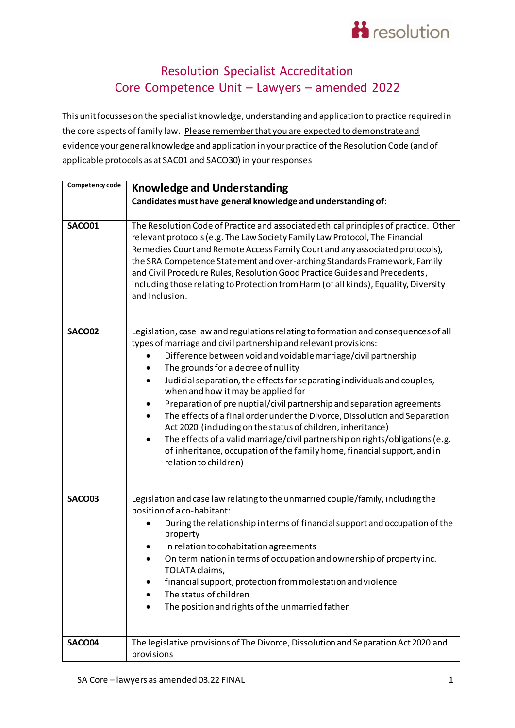

## Resolution Specialist Accreditation Core Competence Unit – Lawyers – amended 2022

This unit focusses on the specialist knowledge, understanding and application to practice required in the core aspects of family law. Please remember that you are expected to demonstrate and evidence your general knowledge and application in your practice of the Resolution Code (and of applicable protocols as at SAC01 and SACO30) in your responses

| Competency code | <b>Knowledge and Understanding</b>                                                                                                                                                                                                                                                                                                                                                                                                                                                                                                                                                                                                                                                                                                                                                                                 |
|-----------------|--------------------------------------------------------------------------------------------------------------------------------------------------------------------------------------------------------------------------------------------------------------------------------------------------------------------------------------------------------------------------------------------------------------------------------------------------------------------------------------------------------------------------------------------------------------------------------------------------------------------------------------------------------------------------------------------------------------------------------------------------------------------------------------------------------------------|
|                 | Candidates must have general knowledge and understanding of:                                                                                                                                                                                                                                                                                                                                                                                                                                                                                                                                                                                                                                                                                                                                                       |
| SACO01          | The Resolution Code of Practice and associated ethical principles of practice. Other<br>relevant protocols (e.g. The Law Society Family Law Protocol, The Financial<br>Remedies Court and Remote Access Family Court and any associated protocols),<br>the SRA Competence Statement and over-arching Standards Framework, Family<br>and Civil Procedure Rules, Resolution Good Practice Guides and Precedents,<br>including those relating to Protection from Harm (of all kinds), Equality, Diversity<br>and Inclusion.                                                                                                                                                                                                                                                                                           |
| <b>SACO02</b>   | Legislation, case law and regulations relating to formation and consequences of all<br>types of marriage and civil partnership and relevant provisions:<br>Difference between void and voidable marriage/civil partnership<br>$\bullet$<br>The grounds for a decree of nullity<br>Judicial separation, the effects for separating individuals and couples,<br>٠<br>when and how it may be applied for<br>Preparation of pre nuptial/civil partnership and separation agreements<br>The effects of a final order under the Divorce, Dissolution and Separation<br>Act 2020 (including on the status of children, inheritance)<br>The effects of a valid marriage/civil partnership on rights/obligations (e.g.<br>of inheritance, occupation of the family home, financial support, and in<br>relation to children) |
| <b>SACO03</b>   | Legislation and case law relating to the unmarried couple/family, including the<br>position of a co-habitant:<br>During the relationship in terms of financial support and occupation of the<br>property<br>In relation to cohabitation agreements<br>On termination in terms of occupation and ownership of property inc.<br>TOLATA claims,<br>financial support, protection from molestation and violence<br>The status of children<br>The position and rights of the unmarried father                                                                                                                                                                                                                                                                                                                           |
| SACO04          | The legislative provisions of The Divorce, Dissolution and Separation Act 2020 and<br>provisions                                                                                                                                                                                                                                                                                                                                                                                                                                                                                                                                                                                                                                                                                                                   |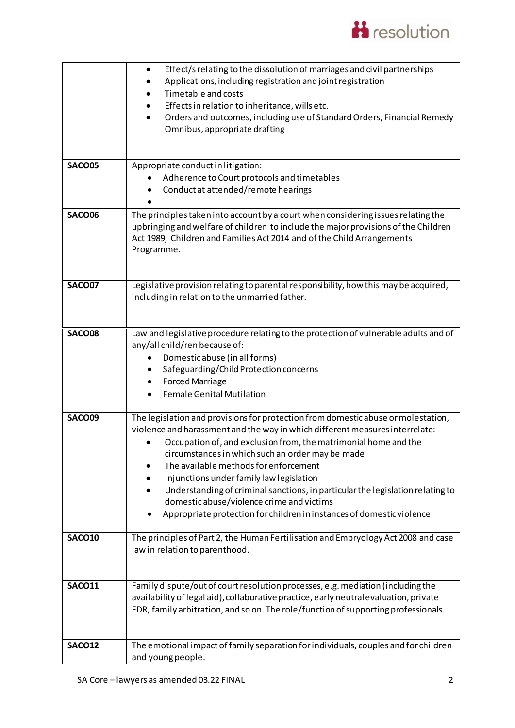

|               | Effect/s relating to the dissolution of marriages and civil partnerships<br>$\bullet$<br>Applications, including registration and joint registration<br>Timetable and costs<br>Effects in relation to inheritance, wills etc.<br>Orders and outcomes, including use of Standard Orders, Financial Remedy<br>$\bullet$<br>Omnibus, appropriate drafting                                                                                                                                                                                                                                |
|---------------|---------------------------------------------------------------------------------------------------------------------------------------------------------------------------------------------------------------------------------------------------------------------------------------------------------------------------------------------------------------------------------------------------------------------------------------------------------------------------------------------------------------------------------------------------------------------------------------|
| <b>SACO05</b> | Appropriate conduct in litigation:<br>Adherence to Court protocols and timetables<br>$\bullet$<br>Conduct at attended/remote hearings                                                                                                                                                                                                                                                                                                                                                                                                                                                 |
| <b>SACO06</b> | The principles taken into account by a court when considering issues relating the<br>upbringing and welfare of children to include the major provisions of the Children<br>Act 1989, Children and Families Act 2014 and of the Child Arrangements<br>Programme.                                                                                                                                                                                                                                                                                                                       |
| <b>SACO07</b> | Legislative provision relating to parental responsibility, how this may be acquired,<br>including in relation to the unmarried father.                                                                                                                                                                                                                                                                                                                                                                                                                                                |
| <b>SACO08</b> | Law and legislative procedure relating to the protection of vulnerable adults and of<br>any/all child/ren because of:<br>Domestic abuse (in all forms)<br>Safeguarding/Child Protection concerns<br><b>Forced Marriage</b><br>٠<br><b>Female Genital Mutilation</b>                                                                                                                                                                                                                                                                                                                   |
| SACO09        | The legislation and provisions for protection from domestic abuse or molestation,<br>violence and harassment and the way in which different measures interrelate:<br>Occupation of, and exclusion from, the matrimonial home and the<br>circumstances in which such an order may be made<br>The available methods for enforcement<br>Injunctions under family law legislation<br>Understanding of criminal sanctions, in particular the legislation relating to<br>domestic abuse/violence crime and victims<br>Appropriate protection for children in instances of domestic violence |
| <b>SACO10</b> | The principles of Part 2, the Human Fertilisation and Embryology Act 2008 and case<br>law in relation to parenthood.                                                                                                                                                                                                                                                                                                                                                                                                                                                                  |
| <b>SACO11</b> | Family dispute/out of court resolution processes, e.g. mediation (including the<br>availability of legal aid), collaborative practice, early neutral evaluation, private<br>FDR, family arbitration, and so on. The role/function of supporting professionals.                                                                                                                                                                                                                                                                                                                        |
| SACO12        | The emotional impact of family separation for individuals, couples and for children<br>and young people.                                                                                                                                                                                                                                                                                                                                                                                                                                                                              |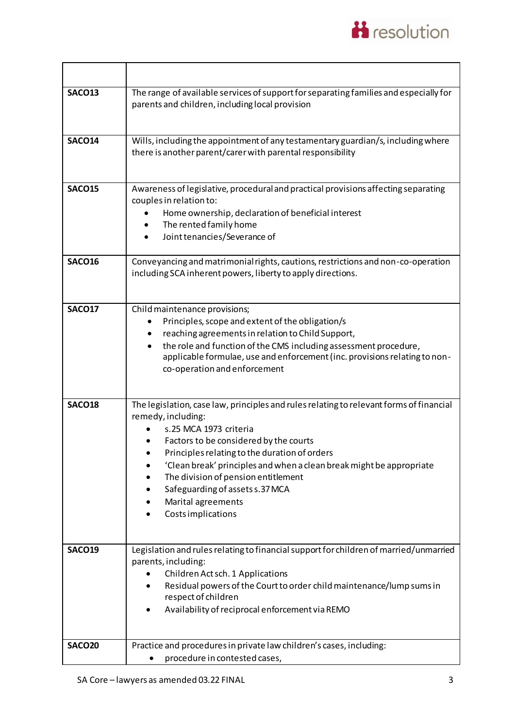

| <b>SACO13</b> | The range of available services of support for separating families and especially for<br>parents and children, including local provision                                                                                                                                                                                                                                                                                         |
|---------------|----------------------------------------------------------------------------------------------------------------------------------------------------------------------------------------------------------------------------------------------------------------------------------------------------------------------------------------------------------------------------------------------------------------------------------|
| <b>SACO14</b> | Wills, including the appointment of any testamentary guardian/s, including where<br>there is another parent/carer with parental responsibility                                                                                                                                                                                                                                                                                   |
| <b>SACO15</b> | Awareness of legislative, procedural and practical provisions affecting separating<br>couples in relation to:<br>Home ownership, declaration of beneficial interest<br>The rented family home<br>Joint tenancies/Severance of                                                                                                                                                                                                    |
| <b>SACO16</b> | Conveyancing and matrimonial rights, cautions, restrictions and non-co-operation<br>including SCA inherent powers, liberty to apply directions.                                                                                                                                                                                                                                                                                  |
| <b>SACO17</b> | Child maintenance provisions;<br>Principles, scope and extent of the obligation/s<br>reaching agreements in relation to Child Support,<br>the role and function of the CMS including assessment procedure,<br>applicable formulae, use and enforcement (inc. provisions relating to non-<br>co-operation and enforcement                                                                                                         |
| <b>SACO18</b> | The legislation, case law, principles and rules relating to relevant forms of financial<br>remedy, including:<br>s.25 MCA 1973 criteria<br>Factors to be considered by the courts<br>Principles relating to the duration of orders<br>'Clean break' principles and when a clean break might be appropriate<br>The division of pension entitlement<br>Safeguarding of assets s.37 MCA<br>Marital agreements<br>Costs implications |
| <b>SACO19</b> | Legislation and rules relating to financial support for children of married/unmarried<br>parents, including:<br>Children Act sch. 1 Applications<br>Residual powers of the Court to order child maintenance/lump sums in<br>respect of children<br>Availability of reciprocal enforcement via REMO                                                                                                                               |
| <b>SACO20</b> | Practice and procedures in private law children's cases, including:<br>procedure in contested cases,                                                                                                                                                                                                                                                                                                                             |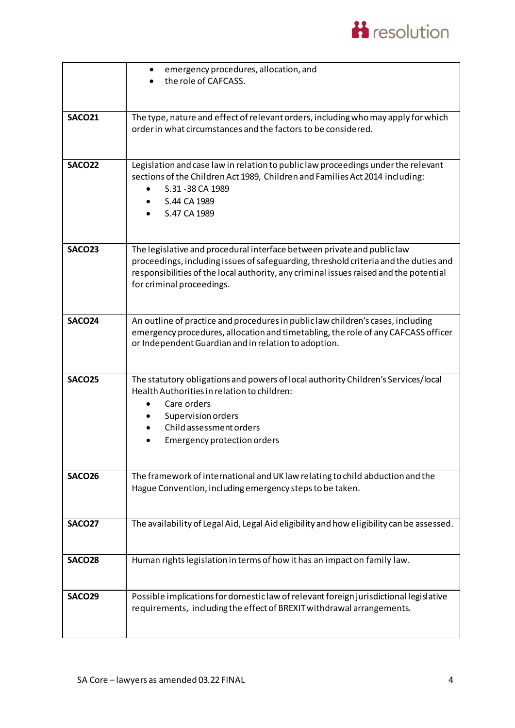

|               | emergency procedures, allocation, and<br>the role of CAFCASS.                                                                                                                                                                                                                         |
|---------------|---------------------------------------------------------------------------------------------------------------------------------------------------------------------------------------------------------------------------------------------------------------------------------------|
| <b>SACO21</b> | The type, nature and effect of relevant orders, including who may apply for which<br>order in what circumstances and the factors to be considered.                                                                                                                                    |
| SACO22        | Legislation and case law in relation to publiclaw proceedings under the relevant<br>sections of the Children Act 1989, Children and Families Act 2014 including:<br>S.31 - 38 CA 1989<br>S.44 CA 1989<br>S.47 CA 1989                                                                 |
| <b>SACO23</b> | The legislative and procedural interface between private and public law<br>proceedings, including issues of safeguarding, threshold criteria and the duties and<br>responsibilities of the local authority, any criminal issues raised and the potential<br>for criminal proceedings. |
| SACO24        | An outline of practice and procedures in public law children's cases, including<br>emergency procedures, allocation and timetabling, the role of any CAFCASS officer<br>or Independent Guardian and in relation to adoption.                                                          |
| <b>SACO25</b> | The statutory obligations and powers of local authority Children's Services/local<br>Health Authorities in relation to children:<br>Care orders<br>Supervision orders<br>Child assessment orders<br>Emergency protection orders                                                       |
| <b>SACO26</b> | The framework of international and UK law relating to child abduction and the<br>Hague Convention, including emergency steps to be taken.                                                                                                                                             |
| <b>SACO27</b> | The availability of Legal Aid, Legal Aid eligibility and how eligibility can be assessed.                                                                                                                                                                                             |
| <b>SACO28</b> | Human rights legislation in terms of how it has an impact on family law.                                                                                                                                                                                                              |
| <b>SACO29</b> | Possible implications for domestic law of relevant foreign jurisdictional legislative<br>requirements, including the effect of BREXIT withdrawal arrangements.                                                                                                                        |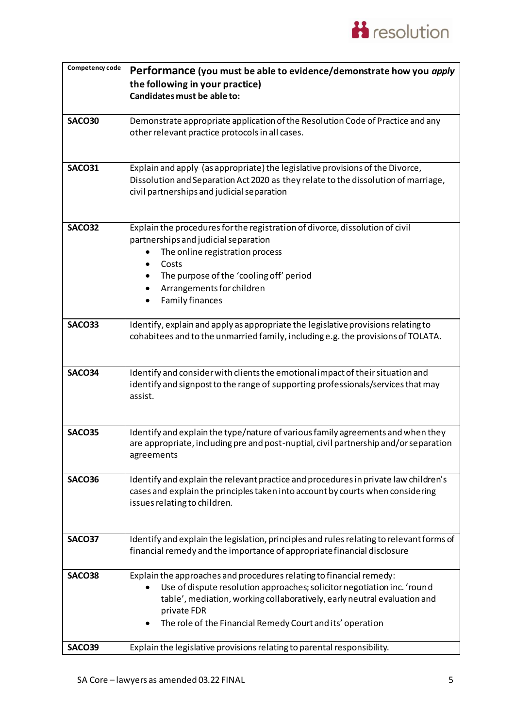

| Competency code | Performance (you must be able to evidence/demonstrate how you apply                      |
|-----------------|------------------------------------------------------------------------------------------|
|                 | the following in your practice)                                                          |
|                 | Candidates must be able to:                                                              |
|                 |                                                                                          |
| <b>SACO30</b>   | Demonstrate appropriate application of the Resolution Code of Practice and any           |
|                 | other relevant practice protocols in all cases.                                          |
|                 |                                                                                          |
|                 |                                                                                          |
| <b>SACO31</b>   | Explain and apply (as appropriate) the legislative provisions of the Divorce,            |
|                 | Dissolution and Separation Act 2020 as they relate to the dissolution of marriage,       |
|                 | civil partnerships and judicial separation                                               |
|                 |                                                                                          |
|                 |                                                                                          |
| <b>SACO32</b>   | Explain the procedures for the registration of divorce, dissolution of civil             |
|                 | partnerships and judicial separation                                                     |
|                 | The online registration process                                                          |
|                 | Costs                                                                                    |
|                 | The purpose of the 'cooling off' period                                                  |
|                 | Arrangements for children<br>٠                                                           |
|                 | <b>Family finances</b>                                                                   |
|                 |                                                                                          |
| <b>SACO33</b>   | Identify, explain and apply as appropriate the legislative provisions relating to        |
|                 | cohabitees and to the unmarried family, including e.g. the provisions of TOLATA.         |
|                 |                                                                                          |
|                 |                                                                                          |
| <b>SACO34</b>   | Identify and consider with clients the emotional impact of their situation and           |
|                 | identify and signpost to the range of supporting professionals/services that may         |
|                 | assist.                                                                                  |
|                 |                                                                                          |
|                 |                                                                                          |
| <b>SACO35</b>   | Identify and explain the type/nature of various family agreements and when they          |
|                 | are appropriate, including pre and post-nuptial, civil partnership and/or separation     |
|                 | agreements                                                                               |
|                 |                                                                                          |
| <b>SACO36</b>   | Identify and explain the relevant practice and procedures in private law children's      |
|                 | cases and explain the principles taken into account by courts when considering           |
|                 | issues relating to children.                                                             |
|                 |                                                                                          |
|                 |                                                                                          |
| <b>SACO37</b>   | Identify and explain the legislation, principles and rules relating to relevant forms of |
|                 | financial remedy and the importance of appropriate financial disclosure                  |
|                 |                                                                                          |
| <b>SACO38</b>   | Explain the approaches and procedures relating to financial remedy:                      |
|                 | Use of dispute resolution approaches; solicitor negotiation inc. 'round                  |
|                 | table', mediation, working collaboratively, early neutral evaluation and                 |
|                 | private FDR                                                                              |
|                 | The role of the Financial Remedy Court and its' operation                                |
|                 |                                                                                          |
| <b>SACO39</b>   | Explain the legislative provisions relating to parental responsibility.                  |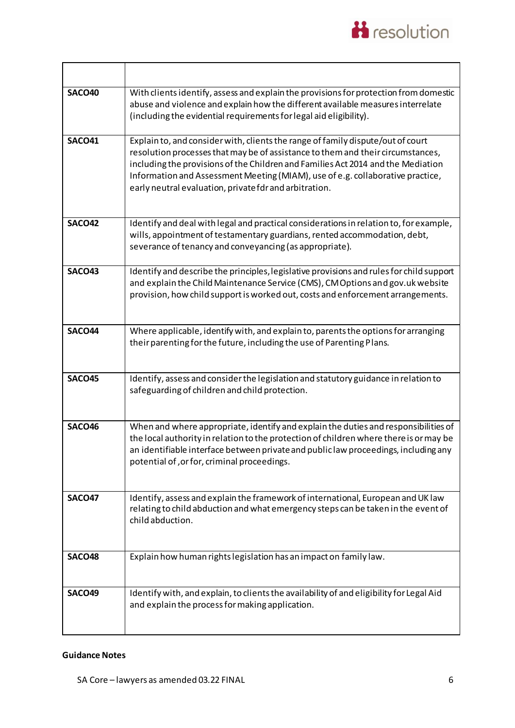

| SACO40        | With clients identify, assess and explain the provisions for protection from domestic<br>abuse and violence and explain how the different available measures interrelate<br>(including the evidential requirements for legal aid eligibility).                                                                                                                                                     |
|---------------|----------------------------------------------------------------------------------------------------------------------------------------------------------------------------------------------------------------------------------------------------------------------------------------------------------------------------------------------------------------------------------------------------|
| <b>SACO41</b> | Explain to, and consider with, clients the range of family dispute/out of court<br>resolution processes that may be of assistance to them and their circumstances,<br>including the provisions of the Children and Families Act 2014 and the Mediation<br>Information and Assessment Meeting (MIAM), use of e.g. collaborative practice,<br>early neutral evaluation, private fdr and arbitration. |
| <b>SACO42</b> | Identify and deal with legal and practical considerations in relation to, for example,<br>wills, appointment of testamentary guardians, rented accommodation, debt,<br>severance of tenancy and conveyancing (as appropriate).                                                                                                                                                                     |
| <b>SACO43</b> | Identify and describe the principles, legislative provisions and rules for child support<br>and explain the Child Maintenance Service (CMS), CM Options and gov.uk website<br>provision, how child support is worked out, costs and enforcement arrangements.                                                                                                                                      |
| SACO44        | Where applicable, identify with, and explain to, parents the options for arranging<br>their parenting for the future, including the use of Parenting Plans.                                                                                                                                                                                                                                        |
| <b>SACO45</b> | Identify, assess and consider the legislation and statutory guidance in relation to<br>safeguarding of children and child protection.                                                                                                                                                                                                                                                              |
| SACO46        | When and where appropriate, identify and explain the duties and responsibilities of<br>the local authority in relation to the protection of children where there is or may be<br>an identifiable interface between private and public law proceedings, including any<br>potential of, or for, criminal proceedings.                                                                                |
| <b>SACO47</b> | Identify, assess and explain the framework of international, European and UK law<br>relating to child abduction and what emergency steps can be taken in the event of<br>child abduction.                                                                                                                                                                                                          |
| <b>SACO48</b> | Explain how human rights legislation has an impact on family law.                                                                                                                                                                                                                                                                                                                                  |
| <b>SACO49</b> | Identify with, and explain, to clients the availability of and eligibility for Legal Aid<br>and explain the process for making application.                                                                                                                                                                                                                                                        |

## **Guidance Notes**